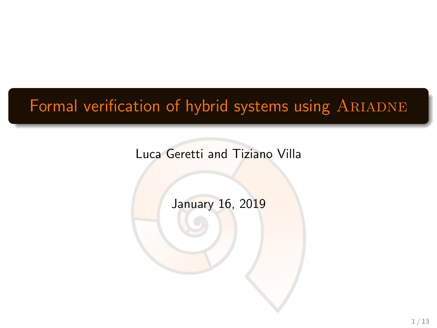# Formal verification of hybrid systems using ARIADNE

### Luca Geretti and Tiziano Villa

January 16, 2019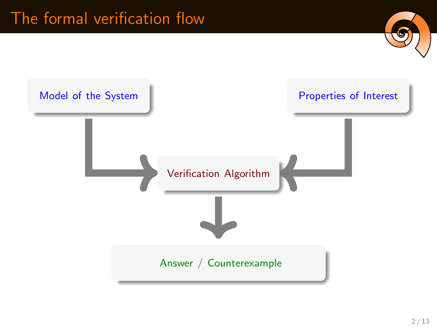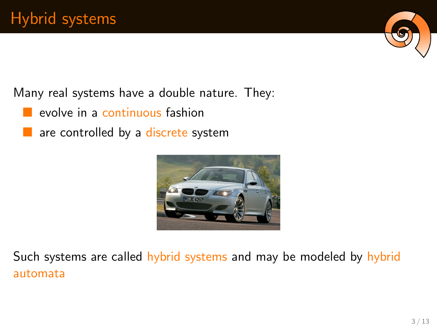

Many real systems have a double nature. They:

- evolve in a continuous fashion
- are controlled by a discrete system



Such systems are called hybrid systems and may be modeled by hybrid automata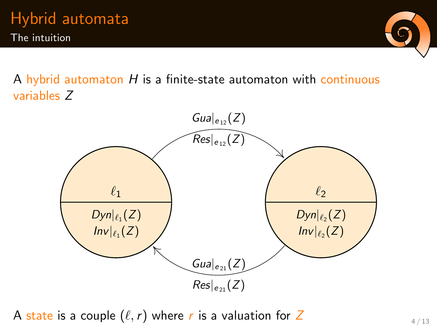

A hybrid automaton  $H$  is a finite-state automaton with continuous variables Z



A state is a couple  $(\ell,r)$  where r is a valuation for Z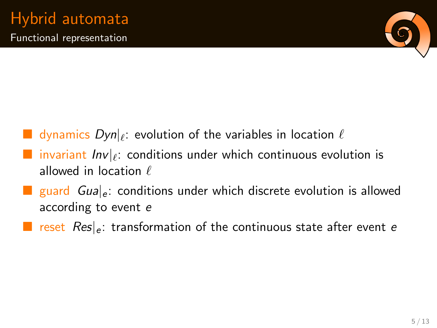

- $\blacksquare$  dynamics  $\mathit{Dyn}|_{\ell}$ : evolution of the variables in location  $\ell$
- **n** invariant  $Inv|_{\ell}$ : conditions under which continuous evolution is allowed in location  $\ell$
- guard  $Gua|_e$ : conditions under which discrete evolution is allowed according to event e
- **E** reset  $Res|_{e}$ : transformation of the continuous state after event e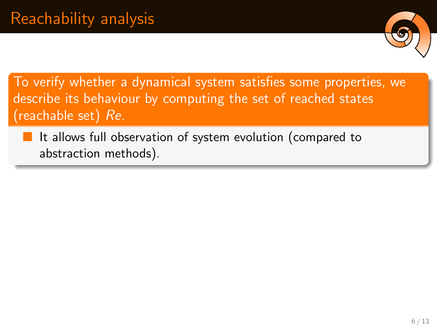

To verify whether a dynamical system satisfies some properties, we describe its behaviour by computing the set of reached states (reachable set) Re.

 $\blacksquare$  It allows full observation of system evolution (compared to abstraction methods).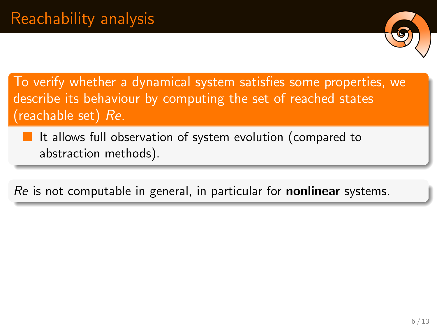

To verify whether a dynamical system satisfies some properties, we describe its behaviour by computing the set of reached states (reachable set) Re.

 $\blacksquare$  It allows full observation of system evolution (compared to abstraction methods).

Re is not computable in general, in particular for **nonlinear** systems.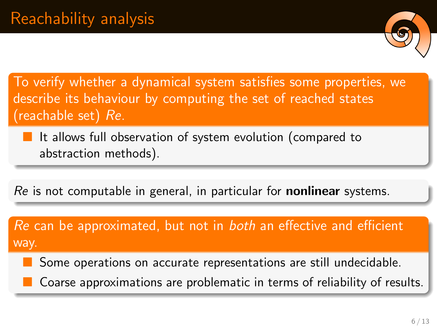

To verify whether a dynamical system satisfies some properties, we describe its behaviour by computing the set of reached states (reachable set) Re.

 $\blacksquare$  It allows full observation of system evolution (compared to abstraction methods).

Re is not computable in general, in particular for **nonlinear** systems.

Re can be approximated, but not in both an effective and efficient way.

- Some operations on accurate representations are still undecidable.
	- Coarse approximations are problematic in terms of reliability of results.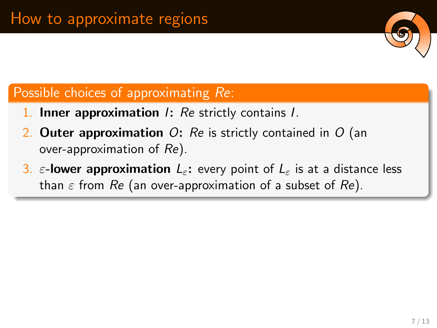## Possible choices of approximating Re:

- 1. Inner approximation I: Re strictly contains I.
- 2. Outer approximation  $Q$ : Re is strictly contained in  $Q$  (an over-approximation of Re).
- 3.  $\varepsilon$ -lower approximation  $L_{\varepsilon}$ : every point of  $L_{\varepsilon}$  is at a distance less than  $\varepsilon$  from  $Re$  (an over-approximation of a subset of  $Re$ ).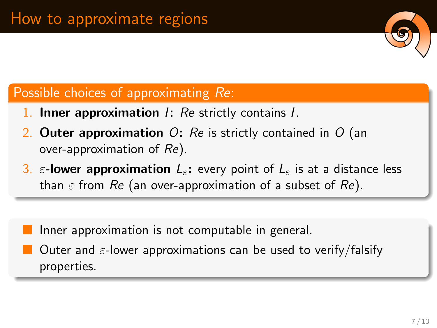## Possible choices of approximating Re:

- 1. Inner approximation  $\ell$ : Re strictly contains  $\ell$ .
- 2. Outer approximation  $O:$  Re is strictly contained in  $O$  (an over-approximation of Re).
- 3.  $\varepsilon$ -lower approximation  $L_{\varepsilon}$ : every point of  $L_{\varepsilon}$  is at a distance less than  $\varepsilon$  from  $Re$  (an over-approximation of a subset of  $Re$ ).
	- Inner approximation is not computable in general.
- Outer and  $\varepsilon$ -lower approximations can be used to verify/falsify properties.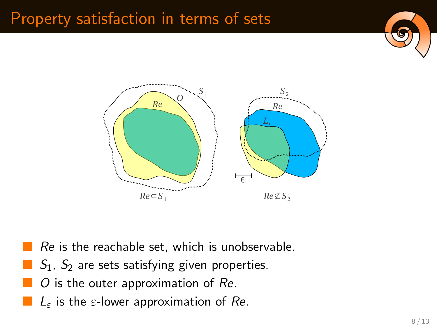# Property satisfaction in terms of sets





- Re is the reachable set, which is unobservable.
- $S_1$ ,  $S_2$  are sets satisfying given properties.
- $O$  is the outer approximation of  $Re$ .
- $\blacksquare$   $L_{\varepsilon}$  is the  $\varepsilon$ -lower approximation of Re.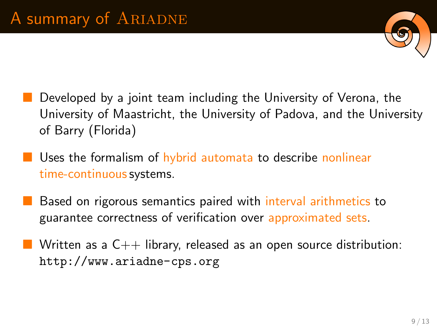

- Developed by a joint team including the University of Verona, the University of Maastricht, the University of Padova, and the University of Barry (Florida)
- $\blacksquare$  Uses the formalism of hybrid automata to describe nonlinear time-continuous systems.
- Based on rigorous semantics paired with interval arithmetics to guarantee correctness of verification over approximated sets.
- Written as a  $C_{++}$  library, released as an open source distribution: <http://www.ariadne-cps.org>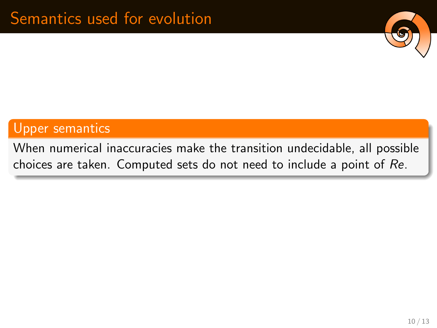

### Upper semantics

When numerical inaccuracies make the transition undecidable, all possible choices are taken. Computed sets do not need to include a point of Re.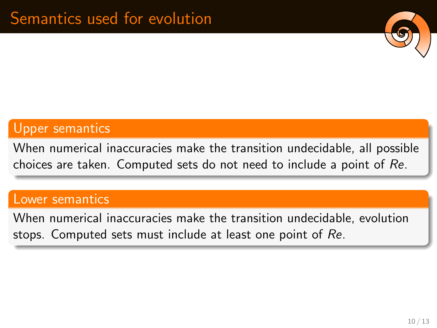

#### Upper semantics

When numerical inaccuracies make the transition undecidable, all possible choices are taken. Computed sets do not need to include a point of Re.

#### Lower semantics

When numerical inaccuracies make the transition undecidable, evolution stops. Computed sets must include at least one point of Re.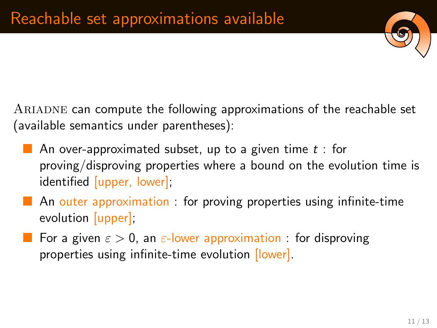

Ariadne can compute the following approximations of the reachable set (available semantics under parentheses):

- An over-approximated subset, up to a given time  $t :$  for proving/disproving properties where a bound on the evolution time is identified [upper, lower];
- **An outer approximation : for proving properties using infinite-time** evolution [upper];
- For a given  $\varepsilon > 0$ , an  $\varepsilon$ -lower approximation : for disproving properties using infinite-time evolution [lower].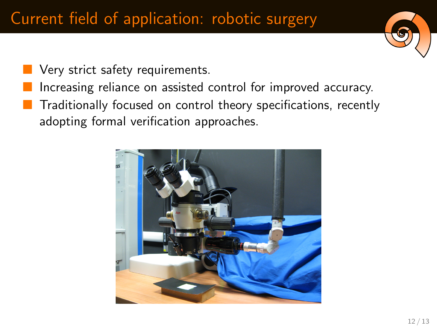

- Very strict safety requirements.
- Increasing reliance on assisted control for improved accuracy.
- Traditionally focused on control theory specifications, recently adopting formal verification approaches.